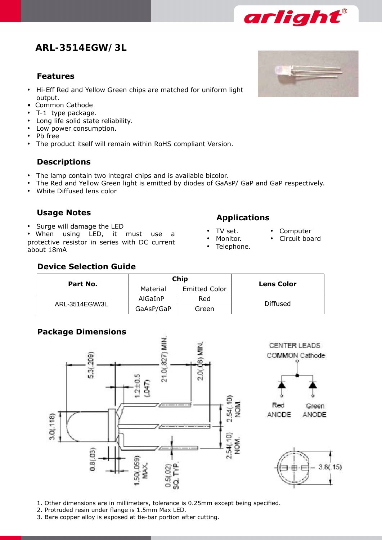# **ARL-3514EGW/3L**

### **Features**

- Hi-Eff Red and Yellow Green chips are matched for uniform light output.
- Common Cathode
- • T-1 type package.
- • Long life solid state reliability.
- • Low power consumption.
- • Pb free
- The product itself will remain within RoHS compliant Version.

## **Descriptions**

- The lamp contain two integral chips and is available bicolor.
- The Red and Yellow Green light is emitted by diodes of GaAsP/ GaP and GaP respectively.
- White Diffused lens color

• Surge will damage the LED<br>• When using LED, it must use a **•** TV set. protective resistor in series with DC current about 18mA

# **Usage Notes Applications**

- 
- Monitor.
- Telephone.
- **Computer**
- Circuit board
- 

## **Device Selection Guide**

| Part No.       |           | Chip                 |                   |  |
|----------------|-----------|----------------------|-------------------|--|
|                | Material  | <b>Emitted Color</b> | <b>Lens Color</b> |  |
| ARL-3514EGW/3L | AlGaInP   | Red                  |                   |  |
|                | GaAsP/GaP | Green                | Diffused          |  |

## **Package Dimensions**



1. Other dimensions are in millimeters, tolerance is 0.25mm except being specified.

- 2. Protruded resin under flange is 1.5mm Max LED.
- 3. Bare copper alloy is exposed at tie-bar portion after cutting.



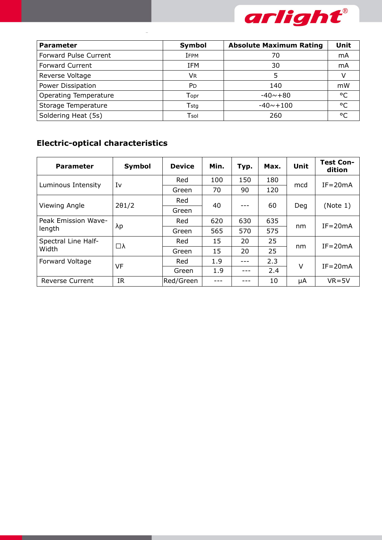

| <b>Parameter</b>             | Symbol     | <b>Absolute Maximum Rating</b> | <b>Unit</b>  |
|------------------------------|------------|--------------------------------|--------------|
| Forward Pulse Current        | IFPM       | 70                             | mA           |
| <b>Forward Current</b>       | IFM        | 30                             | mA           |
| Reverse Voltage              | VR.        | 5                              |              |
| Power Dissipation            | <b>P</b> D | 140                            | mW           |
| <b>Operating Temperature</b> | Topr       | $-40 \sim +80$                 | $^{\circ}$ C |
| Storage Temperature          | Tstg       | $-40 - +100$                   | $^{\circ}$   |
| Soldering Heat (5s)          | Tsol       | 260                            | $\circ$      |

## **Electric-optical characteristics**

**Absolute Maximum Rating**

| <b>Parameter</b>              | Symbol        | <b>Device</b> | Min. | Typ. | Max. | Unit   | <b>Test Con-</b><br>dition |
|-------------------------------|---------------|---------------|------|------|------|--------|----------------------------|
| Luminous Intensity            | Iv            | Red           | 100  | 150  | 180  | mcd    | $IF = 20mA$                |
|                               |               | Green         | 70   | 90   | 120  |        |                            |
| Viewing Angle                 | $2\theta$ 1/2 | Red           | 40   |      | 60   | Deg    | (Note 1)                   |
|                               |               | Green         |      |      |      |        |                            |
| Peak Emission Wave-<br>length | λp            | Red           | 620  | 630  | 635  | nm     | $IF = 20mA$                |
|                               |               | Green         | 565  | 570  | 575  |        |                            |
| Spectral Line Half-<br>Width  | □λ            | Red           | 15   | 20   | 25   | nm     | $IF = 20mA$                |
|                               |               | Green         | 15   | 20   | 25   |        |                            |
| Forward Voltage               | VF            | Red           | 1.9  |      | 2.3  | $\vee$ | $IF = 20mA$                |
|                               |               | Green         | 1.9  |      | 2.4  |        |                            |
| <b>Reverse Current</b>        | IR.           | Red/Green     |      |      | 10   | μA     | $VR = 5V$                  |